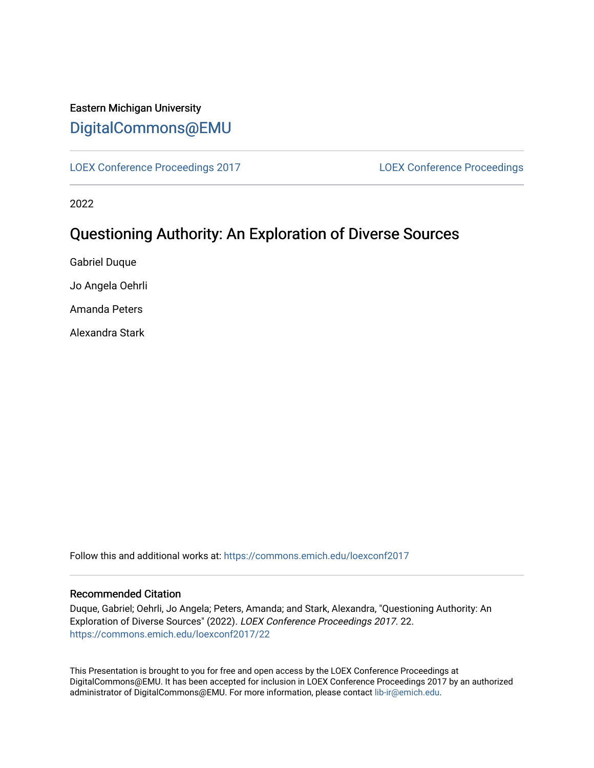# Eastern Michigan University [DigitalCommons@EMU](https://commons.emich.edu/)

[LOEX Conference Proceedings 2017](https://commons.emich.edu/loexconf2017) [LOEX Conference Proceedings](https://commons.emich.edu/loexconf) 

2022

# Questioning Authority: An Exploration of Diverse Sources

Gabriel Duque

Jo Angela Oehrli

Amanda Peters

Alexandra Stark

Follow this and additional works at: [https://commons.emich.edu/loexconf2017](https://commons.emich.edu/loexconf2017?utm_source=commons.emich.edu%2Floexconf2017%2F22&utm_medium=PDF&utm_campaign=PDFCoverPages) 

## Recommended Citation

Duque, Gabriel; Oehrli, Jo Angela; Peters, Amanda; and Stark, Alexandra, "Questioning Authority: An Exploration of Diverse Sources" (2022). LOEX Conference Proceedings 2017. 22. [https://commons.emich.edu/loexconf2017/22](https://commons.emich.edu/loexconf2017/22?utm_source=commons.emich.edu%2Floexconf2017%2F22&utm_medium=PDF&utm_campaign=PDFCoverPages)

This Presentation is brought to you for free and open access by the LOEX Conference Proceedings at DigitalCommons@EMU. It has been accepted for inclusion in LOEX Conference Proceedings 2017 by an authorized administrator of DigitalCommons@EMU. For more information, please contact [lib-ir@emich.edu](mailto:lib-ir@emich.edu).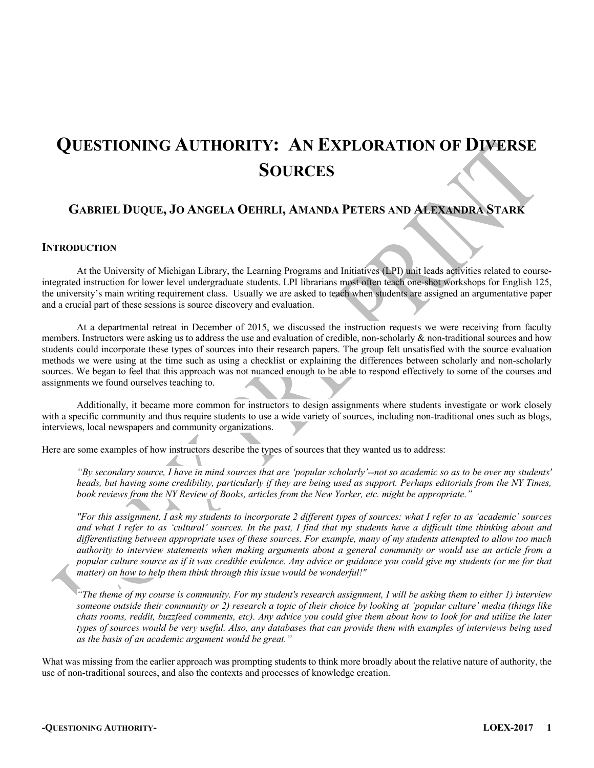# **QUESTIONING AUTHORITY: AN EXPLORATION OF DIVERSE SOURCES**

# **GABRIEL DUQUE, JO ANGELA OEHRLI, AMANDA PETERS AND ALEXANDRA STARK**

#### **INTRODUCTION**

At the University of Michigan Library, the Learning Programs and Initiatives (LPI) unit leads activities related to courseintegrated instruction for lower level undergraduate students. LPI librarians most often teach one-shot workshops for English 125, the university's main writing requirement class. Usually we are asked to teach when students are assigned an argumentative paper and a crucial part of these sessions is source discovery and evaluation.

At a departmental retreat in December of 2015, we discussed the instruction requests we were receiving from faculty members. Instructors were asking us to address the use and evaluation of credible, non-scholarly & non-traditional sources and how students could incorporate these types of sources into their research papers. The group felt unsatisfied with the source evaluation methods we were using at the time such as using a checklist or explaining the differences between scholarly and non-scholarly sources. We began to feel that this approach was not nuanced enough to be able to respond effectively to some of the courses and assignments we found ourselves teaching to.

Additionally, it became more common for instructors to design assignments where students investigate or work closely with a specific community and thus require students to use a wide variety of sources, including non-traditional ones such as blogs, interviews, local newspapers and community organizations.

Here are some examples of how instructors describe the types of sources that they wanted us to address:

*"By secondary source, I have in mind sources that are 'popular scholarly'--not so academic so as to be over my students' heads, but having some credibility, particularly if they are being used as support. Perhaps editorials from the NY Times, book reviews from the NY Review of Books, articles from the New Yorker, etc. might be appropriate."* 

*"For this assignment, I ask my students to incorporate 2 different types of sources: what I refer to as 'academic' sources and what I refer to as 'cultural' sources. In the past, I find that my students have a difficult time thinking about and differentiating between appropriate uses of these sources. For example, many of my students attempted to allow too much authority to interview statements when making arguments about a general community or would use an article from a popular culture source as if it was credible evidence. Any advice or guidance you could give my students (or me for that matter) on how to help them think through this issue would be wonderful!"* 

*"The theme of my course is community. For my student's research assignment, I will be asking them to either 1) interview someone outside their community or 2) research a topic of their choice by looking at 'popular culture' media (things like chats rooms, reddit, buzzfeed comments, etc). Any advice you could give them about how to look for and utilize the later types of sources would be very useful. Also, any databases that can provide them with examples of interviews being used as the basis of an academic argument would be great."* 

What was missing from the earlier approach was prompting students to think more broadly about the relative nature of authority, the use of non-traditional sources, and also the contexts and processes of knowledge creation.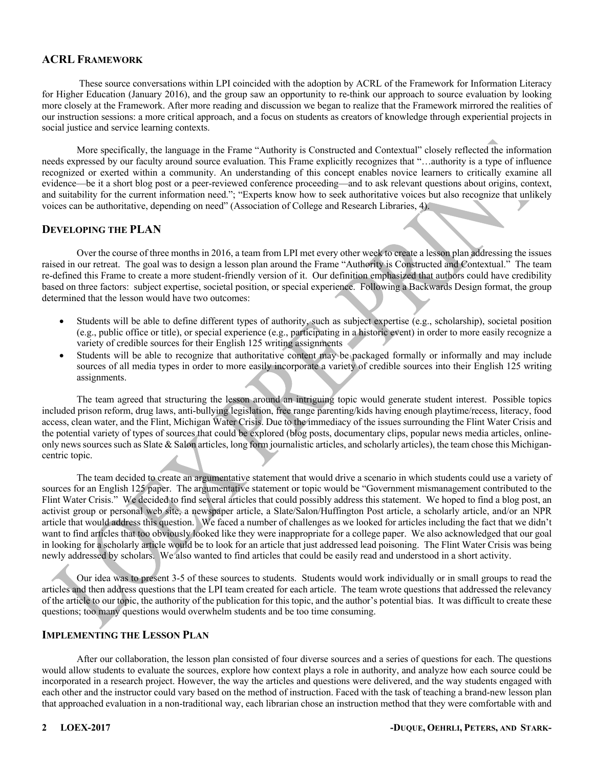# **ACRL FRAMEWORK**

These source conversations within LPI coincided with the adoption by ACRL of the Framework for Information Literacy for Higher Education (January 2016), and the group saw an opportunity to re-think our approach to source evaluation by looking more closely at the Framework. After more reading and discussion we began to realize that the Framework mirrored the realities of our instruction sessions: a more critical approach, and a focus on students as creators of knowledge through experiential projects in social justice and service learning contexts.

More specifically, the language in the Frame "Authority is Constructed and Contextual" closely reflected the information needs expressed by our faculty around source evaluation. This Frame explicitly recognizes that "…authority is a type of influence recognized or exerted within a community. An understanding of this concept enables novice learners to critically examine all evidence—be it a short blog post or a peer-reviewed conference proceeding—and to ask relevant questions about origins, context, and suitability for the current information need."; "Experts know how to seek authoritative voices but also recognize that unlikely voices can be authoritative, depending on need" (Association of College and Research Libraries, 4).

## **DEVELOPING THE PLAN**

Over the course of three months in 2016, a team from LPI met every other week to create a lesson plan addressing the issues raised in our retreat. The goal was to design a lesson plan around the Frame "Authority is Constructed and Contextual." The team re-defined this Frame to create a more student-friendly version of it. Our definition emphasized that authors could have credibility based on three factors: subject expertise, societal position, or special experience. Following a Backwards Design format, the group determined that the lesson would have two outcomes:

- Students will be able to define different types of authority, such as subject expertise (e.g., scholarship), societal position (e.g., public office or title), or special experience (e.g., participating in a historic event) in order to more easily recognize a variety of credible sources for their English 125 writing assignments
- Students will be able to recognize that authoritative content may be packaged formally or informally and may include sources of all media types in order to more easily incorporate a variety of credible sources into their English 125 writing assignments.

The team agreed that structuring the lesson around an intriguing topic would generate student interest. Possible topics included prison reform, drug laws, anti-bullying legislation, free range parenting/kids having enough playtime/recess, literacy, food access, clean water, and the Flint, Michigan Water Crisis. Due to the immediacy of the issues surrounding the Flint Water Crisis and the potential variety of types of sources that could be explored (blog posts, documentary clips, popular news media articles, onlineonly news sources such as Slate & Salon articles, long form journalistic articles, and scholarly articles), the team chose this Michigancentric topic.

The team decided to create an argumentative statement that would drive a scenario in which students could use a variety of sources for an English 125 paper. The argumentative statement or topic would be "Government mismanagement contributed to the Flint Water Crisis." We decided to find several articles that could possibly address this statement. We hoped to find a blog post, an activist group or personal web site, a newspaper article, a Slate/Salon/Huffington Post article, a scholarly article, and/or an NPR article that would address this question. We faced a number of challenges as we looked for articles including the fact that we didn't want to find articles that too obviously looked like they were inappropriate for a college paper. We also acknowledged that our goal in looking for a scholarly article would be to look for an article that just addressed lead poisoning. The Flint Water Crisis was being newly addressed by scholars. We also wanted to find articles that could be easily read and understood in a short activity.

Our idea was to present 3-5 of these sources to students. Students would work individually or in small groups to read the articles and then address questions that the LPI team created for each article. The team wrote questions that addressed the relevancy of the article to our topic, the authority of the publication for this topic, and the author's potential bias. It was difficult to create these questions; too many questions would overwhelm students and be too time consuming.

# **IMPLEMENTING THE LESSON PLAN**

After our collaboration, the lesson plan consisted of four diverse sources and a series of questions for each. The questions would allow students to evaluate the sources, explore how context plays a role in authority, and analyze how each source could be incorporated in a research project. However, the way the articles and questions were delivered, and the way students engaged with each other and the instructor could vary based on the method of instruction. Faced with the task of teaching a brand-new lesson plan that approached evaluation in a non-traditional way, each librarian chose an instruction method that they were comfortable with and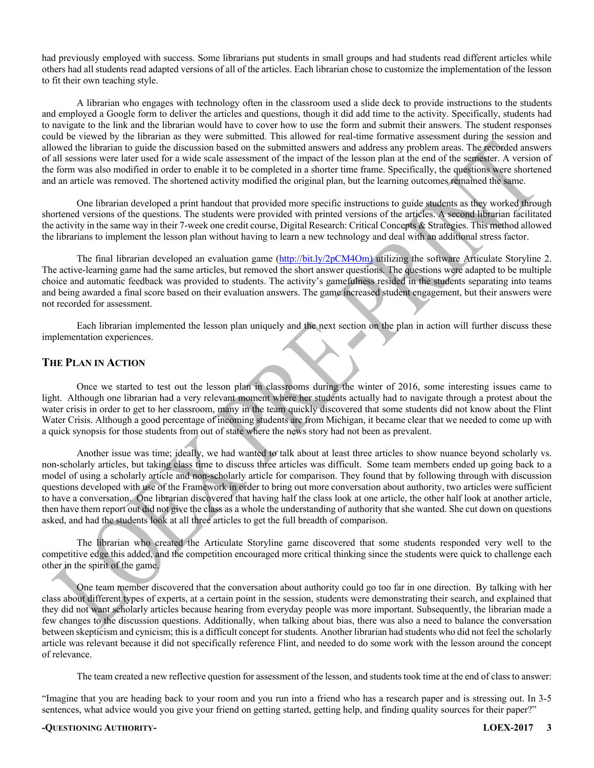had previously employed with success. Some librarians put students in small groups and had students read different articles while others had all students read adapted versions of all of the articles. Each librarian chose to customize the implementation of the lesson to fit their own teaching style.

A librarian who engages with technology often in the classroom used a slide deck to provide instructions to the students and employed a Google form to deliver the articles and questions, though it did add time to the activity. Specifically, students had to navigate to the link and the librarian would have to cover how to use the form and submit their answers. The student responses could be viewed by the librarian as they were submitted. This allowed for real-time formative assessment during the session and allowed the librarian to guide the discussion based on the submitted answers and address any problem areas. The recorded answers of all sessions were later used for a wide scale assessment of the impact of the lesson plan at the end of the semester. A version of the form was also modified in order to enable it to be completed in a shorter time frame. Specifically, the questions were shortened and an article was removed. The shortened activity modified the original plan, but the learning outcomes remained the same.

One librarian developed a print handout that provided more specific instructions to guide students as they worked through shortened versions of the questions. The students were provided with printed versions of the articles. A second librarian facilitated the activity in the same way in their 7-week one credit course, Digital Research: Critical Concepts & Strategies. This method allowed the librarians to implement the lesson plan without having to learn a new technology and deal with an additional stress factor.

The final librarian developed an evaluation game (http://bit.ly/2pCM4Om) utilizing the software Articulate Storyline 2. The active-learning game had the same articles, but removed the short answer questions. The questions were adapted to be multiple choice and automatic feedback was provided to students. The activity's gamefulness resided in the students separating into teams and being awarded a final score based on their evaluation answers. The game increased student engagement, but their answers were not recorded for assessment.

Each librarian implemented the lesson plan uniquely and the next section on the plan in action will further discuss these implementation experiences.

# **THE PLAN IN ACTION**

Once we started to test out the lesson plan in classrooms during the winter of 2016, some interesting issues came to light. Although one librarian had a very relevant moment where her students actually had to navigate through a protest about the water crisis in order to get to her classroom, many in the team quickly discovered that some students did not know about the Flint Water Crisis. Although a good percentage of incoming students are from Michigan, it became clear that we needed to come up with a quick synopsis for those students from out of state where the news story had not been as prevalent.

Another issue was time; ideally, we had wanted to talk about at least three articles to show nuance beyond scholarly vs. non-scholarly articles, but taking class time to discuss three articles was difficult. Some team members ended up going back to a model of using a scholarly article and non-scholarly article for comparison. They found that by following through with discussion questions developed with use of the Framework in order to bring out more conversation about authority, two articles were sufficient to have a conversation. One librarian discovered that having half the class look at one article, the other half look at another article, then have them report out did not give the class as a whole the understanding of authority that she wanted. She cut down on questions asked, and had the students look at all three articles to get the full breadth of comparison.

The librarian who created the Articulate Storyline game discovered that some students responded very well to the competitive edge this added, and the competition encouraged more critical thinking since the students were quick to challenge each other in the spirit of the game.

One team member discovered that the conversation about authority could go too far in one direction. By talking with her class about different types of experts, at a certain point in the session, students were demonstrating their search, and explained that they did not want scholarly articles because hearing from everyday people was more important. Subsequently, the librarian made a few changes to the discussion questions. Additionally, when talking about bias, there was also a need to balance the conversation between skepticism and cynicism; this is a difficult concept for students. Another librarian had students who did not feel the scholarly article was relevant because it did not specifically reference Flint, and needed to do some work with the lesson around the concept of relevance.

The team created a new reflective question for assessment of the lesson, and students took time at the end of class to answer:

"Imagine that you are heading back to your room and you run into a friend who has a research paper and is stressing out. In 3-5 sentences, what advice would you give your friend on getting started, getting help, and finding quality sources for their paper?"

#### **-QUESTIONING AUTHORITY- LOEX-2017 3**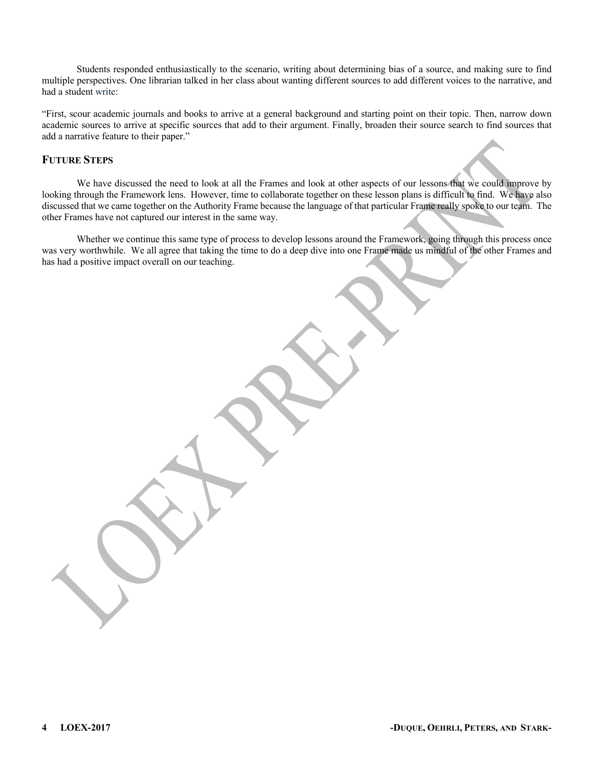Students responded enthusiastically to the scenario, writing about determining bias of a source, and making sure to find multiple perspectives. One librarian talked in her class about wanting different sources to add different voices to the narrative, and had a student write:

"First, scour academic journals and books to arrive at a general background and starting point on their topic. Then, narrow down academic sources to arrive at specific sources that add to their argument. Finally, broaden their source search to find sources that add a narrative feature to their paper."

# **FUTURE STEPS**

We have discussed the need to look at all the Frames and look at other aspects of our lessons that we could improve by looking through the Framework lens. However, time to collaborate together on these lesson plans is difficult to find. We have also discussed that we came together on the Authority Frame because the language of that particular Frame really spoke to our team. The other Frames have not captured our interest in the same way.

Whether we continue this same type of process to develop lessons around the Framework, going through this process once was very worthwhile. We all agree that taking the time to do a deep dive into one Frame made us mindful of the other Frames and has had a positive impact overall on our teaching.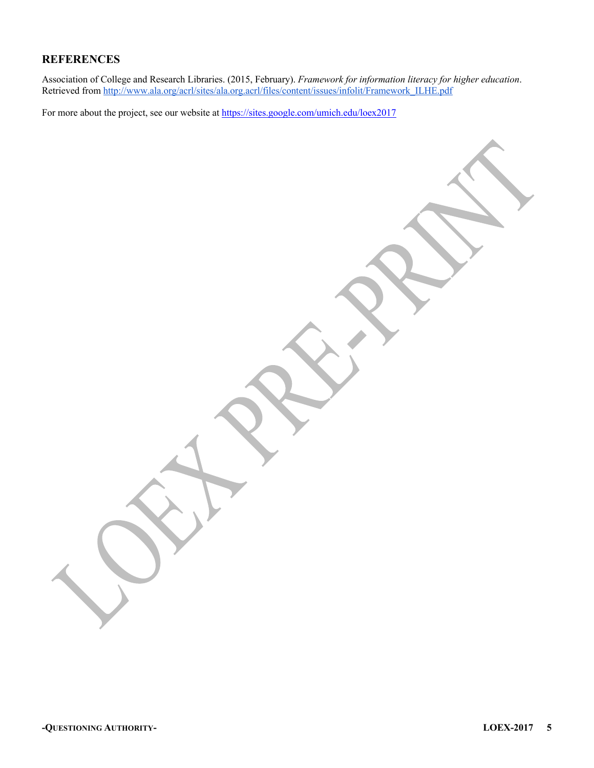# **REFERENCES**

Association of College and Research Libraries. (2015, February). *Framework for information literacy for higher education*. Retrieved from http://www.ala.org/acrl/sites/ala.org.acrl/files/content/issues/infolit/Framework\_ILHE.pdf

For more about the project, see our website at https://sites.google.com/umich.edu/loex2017